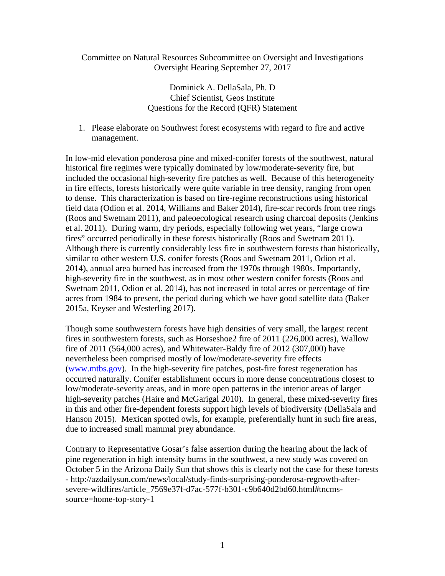## Committee on Natural Resources Subcommittee on Oversight and Investigations Oversight Hearing September 27, 2017

Dominick A. DellaSala, Ph. D Chief Scientist, Geos Institute Questions for the Record (QFR) Statement

1. Please elaborate on Southwest forest ecosystems with regard to fire and active management.

In low-mid elevation ponderosa pine and mixed-conifer forests of the southwest, natural historical fire regimes were typically dominated by low/moderate-severity fire, but included the occasional high-severity fire patches as well. Because of this heterogeneity in fire effects, forests historically were quite variable in tree density, ranging from open to dense. This characterization is based on fire-regime reconstructions using historical field data (Odion et al. 2014, Williams and Baker 2014), fire-scar records from tree rings (Roos and Swetnam 2011), and paleoecological research using charcoal deposits (Jenkins et al. 2011). During warm, dry periods, especially following wet years, "large crown fires" occurred periodically in these forests historically (Roos and Swetnam 2011). Although there is currently considerably less fire in southwestern forests than historically, similar to other western U.S. conifer forests (Roos and Swetnam 2011, Odion et al. 2014), annual area burned has increased from the 1970s through 1980s. Importantly, high-severity fire in the southwest, as in most other western conifer forests (Roos and Swetnam 2011, Odion et al. 2014), has not increased in total acres or percentage of fire acres from 1984 to present, the period during which we have good satellite data (Baker 2015a, Keyser and Westerling 2017).

Though some southwestern forests have high densities of very small, the largest recent fires in southwestern forests, such as Horseshoe2 fire of 2011 (226,000 acres), Wallow fire of 2011 (564,000 acres), and Whitewater-Baldy fire of 2012 (307,000) have nevertheless been comprised mostly of low/moderate-severity fire effects (www.mtbs.gov). In the high-severity fire patches, post-fire forest regeneration has occurred naturally. Conifer establishment occurs in more dense concentrations closest to low/moderate-severity areas, and in more open patterns in the interior areas of larger high-severity patches (Haire and McGarigal 2010). In general, these mixed-severity fires in this and other fire-dependent forests support high levels of biodiversity (DellaSala and Hanson 2015). Mexican spotted owls, for example, preferentially hunt in such fire areas, due to increased small mammal prey abundance.

Contrary to Representative Gosar's false assertion during the hearing about the lack of pine regeneration in high intensity burns in the southwest, a new study was covered on October 5 in the Arizona Daily Sun that shows this is clearly not the case for these forests - http://azdailysun.com/news/local/study-finds-surprising-ponderosa-regrowth-aftersevere-wildfires/article\_7569e37f-d7ac-577f-b301-c9b640d2bd60.html#tncmssource=home-top-story-1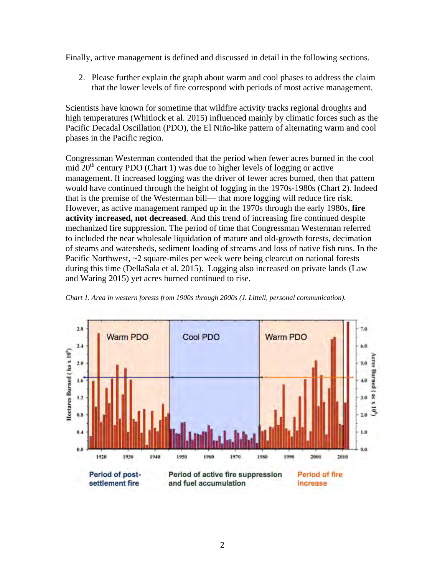Finally, active management is defined and discussed in detail in the following sections.

2. Please further explain the graph about warm and cool phases to address the claim that the lower levels of fire correspond with periods of most active management.

Scientists have known for sometime that wildfire activity tracks regional droughts and high temperatures (Whitlock et al. 2015) influenced mainly by climatic forces such as the Pacific Decadal Oscillation (PDO), the El Niño-like pattern of alternating warm and cool phases in the Pacific region.

Congressman Westerman contended that the period when fewer acres burned in the cool mid  $20<sup>th</sup>$  century PDO (Chart 1) was due to higher levels of logging or active management. If increased logging was the driver of fewer acres burned, then that pattern would have continued through the height of logging in the 1970s-1980s (Chart 2). Indeed that is the premise of the Westerman bill— that more logging will reduce fire risk. However, as active management ramped up in the 1970s through the early 1980s, **fire activity increased, not decreased**. And this trend of increasing fire continued despite mechanized fire suppression. The period of time that Congressman Westerman referred to included the near wholesale liquidation of mature and old-growth forests, decimation of steams and watersheds, sediment loading of streams and loss of native fish runs. In the Pacific Northwest, ~2 square-miles per week were being clearcut on national forests during this time (DellaSala et al. 2015). Logging also increased on private lands (Law and Waring 2015) yet acres burned continued to rise.



*Chart 1. Area in western forests from 1900s through 2000s (J. Littell, personal communication).*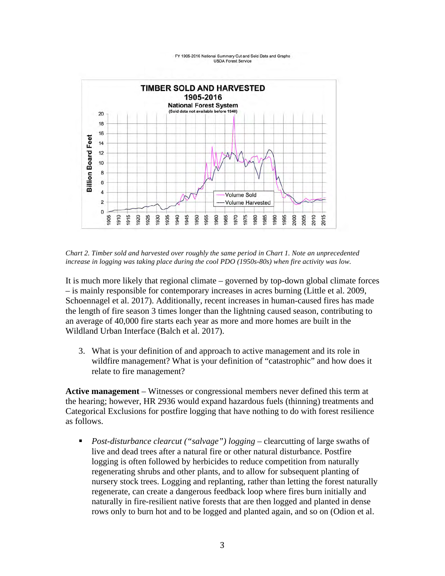#### FY 1905-2016 National Summary Cut and Sold Data and Graphs **USDA Forest Service**



*Chart 2. Timber sold and harvested over roughly the same period in Chart 1. Note an unprecedented increase in logging was taking place during the cool PDO (1950s-80s) when fire activity was low.* 

It is much more likely that regional climate – governed by top-down global climate forces – is mainly responsible for contemporary increases in acres burning (Little et al. 2009, Schoennagel et al. 2017). Additionally, recent increases in human-caused fires has made the length of fire season 3 times longer than the lightning caused season, contributing to an average of 40,000 fire starts each year as more and more homes are built in the Wildland Urban Interface (Balch et al. 2017).

3. What is your definition of and approach to active management and its role in wildfire management? What is your definition of "catastrophic" and how does it relate to fire management?

**Active management** – Witnesses or congressional members never defined this term at the hearing; however, HR 2936 would expand hazardous fuels (thinning) treatments and Categorical Exclusions for postfire logging that have nothing to do with forest resilience as follows.

■ *Post-disturbance clearcut ("salvage") logging* – clearcutting of large swaths of live and dead trees after a natural fire or other natural disturbance. Postfire logging is often followed by herbicides to reduce competition from naturally regenerating shrubs and other plants, and to allow for subsequent planting of nursery stock trees. Logging and replanting, rather than letting the forest naturally regenerate, can create a dangerous feedback loop where fires burn initially and naturally in fire-resilient native forests that are then logged and planted in dense rows only to burn hot and to be logged and planted again, and so on (Odion et al.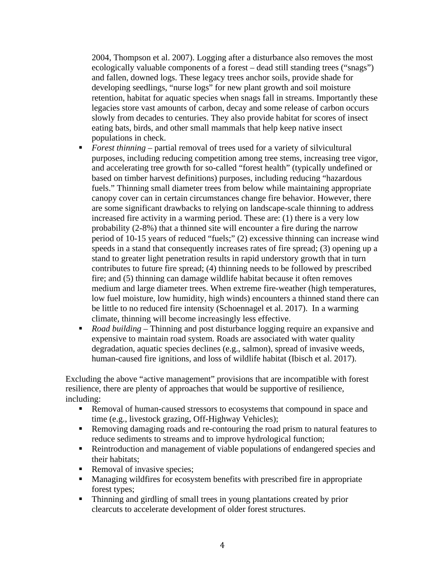2004, Thompson et al. 2007). Logging after a disturbance also removes the most ecologically valuable components of a forest – dead still standing trees ("snags") and fallen, downed logs. These legacy trees anchor soils, provide shade for developing seedlings, "nurse logs" for new plant growth and soil moisture retention, habitat for aquatic species when snags fall in streams. Importantly these legacies store vast amounts of carbon, decay and some release of carbon occurs slowly from decades to centuries. They also provide habitat for scores of insect eating bats, birds, and other small mammals that help keep native insect populations in check.

- *Forest thinning* partial removal of trees used for a variety of silvicultural purposes, including reducing competition among tree stems, increasing tree vigor, and accelerating tree growth for so-called "forest health" (typically undefined or based on timber harvest definitions) purposes, including reducing "hazardous fuels." Thinning small diameter trees from below while maintaining appropriate canopy cover can in certain circumstances change fire behavior. However, there are some significant drawbacks to relying on landscape-scale thinning to address increased fire activity in a warming period. These are: (1) there is a very low probability (2-8%) that a thinned site will encounter a fire during the narrow period of 10-15 years of reduced "fuels;" (2) excessive thinning can increase wind speeds in a stand that consequently increases rates of fire spread; (3) opening up a stand to greater light penetration results in rapid understory growth that in turn contributes to future fire spread; (4) thinning needs to be followed by prescribed fire; and (5) thinning can damage wildlife habitat because it often removes medium and large diameter trees. When extreme fire-weather (high temperatures, low fuel moisture, low humidity, high winds) encounters a thinned stand there can be little to no reduced fire intensity (Schoennagel et al. 2017). In a warming climate, thinning will become increasingly less effective.
- *Road building* Thinning and post disturbance logging require an expansive and expensive to maintain road system. Roads are associated with water quality degradation, aquatic species declines (e.g., salmon), spread of invasive weeds, human-caused fire ignitions, and loss of wildlife habitat (Ibisch et al. 2017).

Excluding the above "active management" provisions that are incompatible with forest resilience, there are plenty of approaches that would be supportive of resilience, including:

- Removal of human-caused stressors to ecosystems that compound in space and time (e.g., livestock grazing, Off-Highway Vehicles);
- Removing damaging roads and re-contouring the road prism to natural features to reduce sediments to streams and to improve hydrological function;
- Reintroduction and management of viable populations of endangered species and their habitats;
- Removal of invasive species;
- Managing wildfires for ecosystem benefits with prescribed fire in appropriate forest types;
- Thinning and girdling of small trees in young plantations created by prior clearcuts to accelerate development of older forest structures.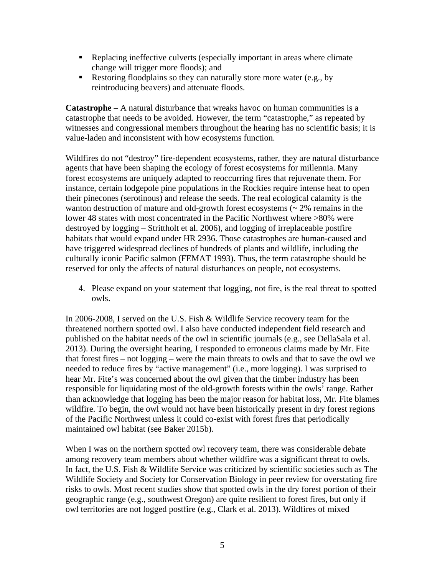- Replacing ineffective culverts (especially important in areas where climate change will trigger more floods); and
- Restoring floodplains so they can naturally store more water (e.g., by reintroducing beavers) and attenuate floods.

**Catastrophe** – A natural disturbance that wreaks havoc on human communities is a catastrophe that needs to be avoided. However, the term "catastrophe," as repeated by witnesses and congressional members throughout the hearing has no scientific basis; it is value-laden and inconsistent with how ecosystems function.

Wildfires do not "destroy" fire-dependent ecosystems, rather, they are natural disturbance agents that have been shaping the ecology of forest ecosystems for millennia. Many forest ecosystems are uniquely adapted to reoccurring fires that rejuvenate them. For instance, certain lodgepole pine populations in the Rockies require intense heat to open their pinecones (serotinous) and release the seeds. The real ecological calamity is the wanton destruction of mature and old-growth forest ecosystems  $\left(\sim 2\%$  remains in the lower 48 states with most concentrated in the Pacific Northwest where >80% were destroyed by logging – Strittholt et al. 2006), and logging of irreplaceable postfire habitats that would expand under HR 2936. Those catastrophes are human-caused and have triggered widespread declines of hundreds of plants and wildlife, including the culturally iconic Pacific salmon (FEMAT 1993). Thus, the term catastrophe should be reserved for only the affects of natural disturbances on people, not ecosystems.

4. Please expand on your statement that logging, not fire, is the real threat to spotted owls.

In 2006-2008, I served on the U.S. Fish & Wildlife Service recovery team for the threatened northern spotted owl. I also have conducted independent field research and published on the habitat needs of the owl in scientific journals (e.g., see DellaSala et al. 2013). During the oversight hearing, I responded to erroneous claims made by Mr. Fite that forest fires – not logging – were the main threats to owls and that to save the owl we needed to reduce fires by "active management" (i.e., more logging). I was surprised to hear Mr. Fite's was concerned about the owl given that the timber industry has been responsible for liquidating most of the old-growth forests within the owls' range. Rather than acknowledge that logging has been the major reason for habitat loss, Mr. Fite blames wildfire. To begin, the owl would not have been historically present in dry forest regions of the Pacific Northwest unless it could co-exist with forest fires that periodically maintained owl habitat (see Baker 2015b).

When I was on the northern spotted owl recovery team, there was considerable debate among recovery team members about whether wildfire was a significant threat to owls. In fact, the U.S. Fish & Wildlife Service was criticized by scientific societies such as The Wildlife Society and Society for Conservation Biology in peer review for overstating fire risks to owls. Most recent studies show that spotted owls in the dry forest portion of their geographic range (e.g., southwest Oregon) are quite resilient to forest fires, but only if owl territories are not logged postfire (e.g., Clark et al. 2013). Wildfires of mixed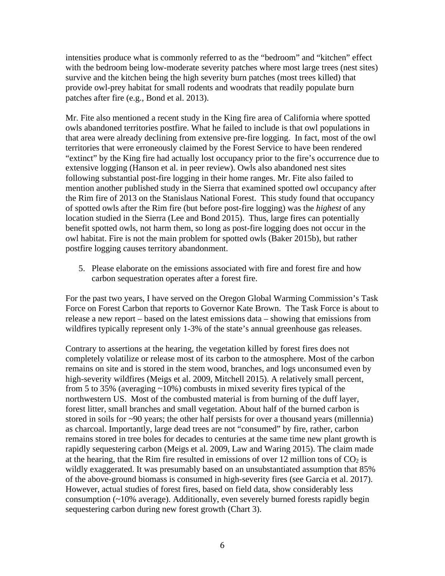intensities produce what is commonly referred to as the "bedroom" and "kitchen" effect with the bedroom being low-moderate severity patches where most large trees (nest sites) survive and the kitchen being the high severity burn patches (most trees killed) that provide owl-prey habitat for small rodents and woodrats that readily populate burn patches after fire (e.g., Bond et al. 2013).

Mr. Fite also mentioned a recent study in the King fire area of California where spotted owls abandoned territories postfire. What he failed to include is that owl populations in that area were already declining from extensive pre-fire logging. In fact, most of the owl territories that were erroneously claimed by the Forest Service to have been rendered "extinct" by the King fire had actually lost occupancy prior to the fire's occurrence due to extensive logging (Hanson et al. in peer review). Owls also abandoned nest sites following substantial post-fire logging in their home ranges. Mr. Fite also failed to mention another published study in the Sierra that examined spotted owl occupancy after the Rim fire of 2013 on the Stanislaus National Forest. This study found that occupancy of spotted owls after the Rim fire (but before post-fire logging) was the *highest* of any location studied in the Sierra (Lee and Bond 2015). Thus, large fires can potentially benefit spotted owls, not harm them, so long as post-fire logging does not occur in the owl habitat. Fire is not the main problem for spotted owls (Baker 2015b), but rather postfire logging causes territory abandonment.

5. Please elaborate on the emissions associated with fire and forest fire and how carbon sequestration operates after a forest fire.

For the past two years, I have served on the Oregon Global Warming Commission's Task Force on Forest Carbon that reports to Governor Kate Brown. The Task Force is about to release a new report – based on the latest emissions data – showing that emissions from wildfires typically represent only 1-3% of the state's annual greenhouse gas releases.

Contrary to assertions at the hearing, the vegetation killed by forest fires does not completely volatilize or release most of its carbon to the atmosphere. Most of the carbon remains on site and is stored in the stem wood, branches, and logs unconsumed even by high-severity wildfires (Meigs et al. 2009, Mitchell 2015). A relatively small percent, from 5 to 35% (averaging ~10%) combusts in mixed severity fires typical of the northwestern US. Most of the combusted material is from burning of the duff layer, forest litter, small branches and small vegetation. About half of the burned carbon is stored in soils for ~90 years; the other half persists for over a thousand years (millennia) as charcoal. Importantly, large dead trees are not "consumed" by fire, rather, carbon remains stored in tree boles for decades to centuries at the same time new plant growth is rapidly sequestering carbon (Meigs et al. 2009, Law and Waring 2015). The claim made at the hearing, that the Rim fire resulted in emissions of over 12 million tons of  $CO<sub>2</sub>$  is wildly exaggerated. It was presumably based on an unsubstantiated assumption that 85% of the above-ground biomass is consumed in high-severity fires (see Garcia et al. 2017). However, actual studies of forest fires, based on field data, show considerably less consumption (~10% average). Additionally, even severely burned forests rapidly begin sequestering carbon during new forest growth (Chart 3).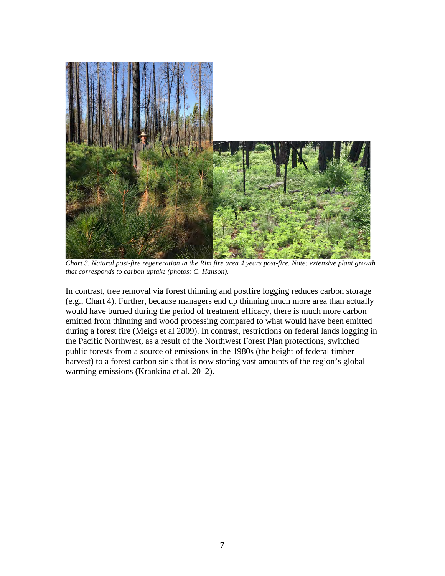

*Chart 3. Natural post-fire regeneration in the Rim fire area 4 years post-fire. Note: extensive plant growth that corresponds to carbon uptake (photos: C. Hanson).*

In contrast, tree removal via forest thinning and postfire logging reduces carbon storage (e.g., Chart 4). Further, because managers end up thinning much more area than actually would have burned during the period of treatment efficacy, there is much more carbon emitted from thinning and wood processing compared to what would have been emitted during a forest fire (Meigs et al 2009). In contrast, restrictions on federal lands logging in the Pacific Northwest, as a result of the Northwest Forest Plan protections, switched public forests from a source of emissions in the 1980s (the height of federal timber harvest) to a forest carbon sink that is now storing vast amounts of the region's global warming emissions (Krankina et al. 2012).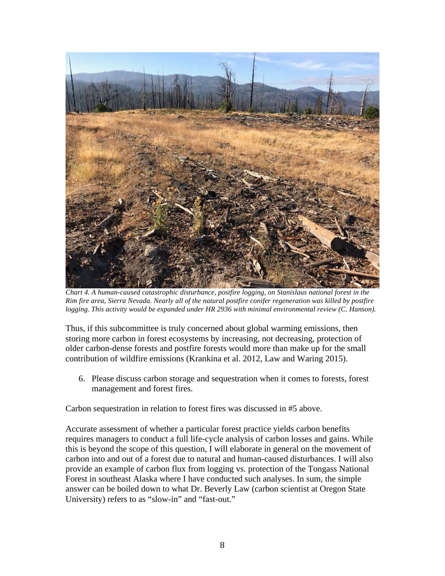

*Chart 4. A human-caused catastrophic disturbance, postfire logging, on Stanislaus national forest in the Rim fire area, Sierra Nevada. Nearly all of the natural postfire conifer regeneration was killed by postfire logging. This activity would be expanded under HR 2936 with minimal environmental review (C. Hanson).* 

Thus, if this subcommittee is truly concerned about global warming emissions, then storing more carbon in forest ecosystems by increasing, not decreasing, protection of older carbon-dense forests and postfire forests would more than make up for the small contribution of wildfire emissions (Krankina et al. 2012, Law and Waring 2015).

6. Please discuss carbon storage and sequestration when it comes to forests, forest management and forest fires.

Carbon sequestration in relation to forest fires was discussed in #5 above.

Accurate assessment of whether a particular forest practice yields carbon benefits requires managers to conduct a full life-cycle analysis of carbon losses and gains. While this is beyond the scope of this question, I will elaborate in general on the movement of carbon into and out of a forest due to natural and human-caused disturbances. I will also provide an example of carbon flux from logging vs. protection of the Tongass National Forest in southeast Alaska where I have conducted such analyses. In sum, the simple answer can be boiled down to what Dr. Beverly Law (carbon scientist at Oregon State University) refers to as "slow-in" and "fast-out."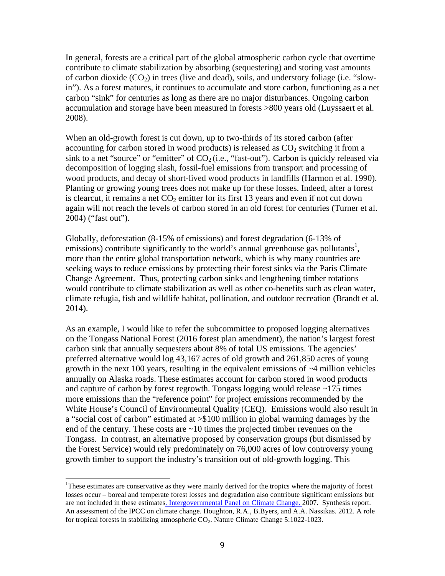In general, forests are a critical part of the global atmospheric carbon cycle that overtime contribute to climate stabilization by absorbing (sequestering) and storing vast amounts of carbon dioxide  $(CO_2)$  in trees (live and dead), soils, and understory foliage (i.e. "slowin"). As a forest matures, it continues to accumulate and store carbon, functioning as a net carbon "sink" for centuries as long as there are no major disturbances. Ongoing carbon accumulation and storage have been measured in forests >800 years old (Luyssaert et al. 2008).

When an old-growth forest is cut down, up to two-thirds of its stored carbon (after accounting for carbon stored in wood products) is released as  $CO<sub>2</sub>$  switching it from a sink to a net "source" or "emitter" of  $CO<sub>2</sub>$  (i.e., "fast-out"). Carbon is quickly released via decomposition of logging slash, fossil-fuel emissions from transport and processing of wood products, and decay of short-lived wood products in landfills (Harmon et al. 1990). Planting or growing young trees does not make up for these losses. Indeed, after a forest is clearcut, it remains a net  $CO<sub>2</sub>$  emitter for its first 13 years and even if not cut down again will not reach the levels of carbon stored in an old forest for centuries (Turner et al. 2004) ("fast out").

Globally, deforestation (8-15% of emissions) and forest degradation (6-13% of emissions) contribute significantly to the world's annual greenhouse gas pollutants<sup>1</sup>, more than the entire global transportation network, which is why many countries are seeking ways to reduce emissions by protecting their forest sinks via the Paris Climate Change Agreement. Thus, protecting carbon sinks and lengthening timber rotations would contribute to climate stabilization as well as other co-benefits such as clean water, climate refugia, fish and wildlife habitat, pollination, and outdoor recreation (Brandt et al. 2014).

As an example, I would like to refer the subcommittee to proposed logging alternatives on the Tongass National Forest (2016 forest plan amendment), the nation's largest forest carbon sink that annually sequesters about 8% of total US emissions. The agencies' preferred alternative would log 43,167 acres of old growth and 261,850 acres of young growth in the next 100 years, resulting in the equivalent emissions of ~4 million vehicles annually on Alaska roads. These estimates account for carbon stored in wood products and capture of carbon by forest regrowth. Tongass logging would release  $\sim$ 175 times more emissions than the "reference point" for project emissions recommended by the White House's Council of Environmental Quality (CEQ). Emissions would also result in a "social cost of carbon" estimated at >\$100 million in global warming damages by the end of the century. These costs are  $\sim 10$  times the projected timber revenues on the Tongass. In contrast, an alternative proposed by conservation groups (but dismissed by the Forest Service) would rely predominately on 76,000 acres of low controversy young growth timber to support the industry's transition out of old-growth logging. This

<sup>&</sup>lt;sup>1</sup>These estimates are conservative as they were mainly derived for the tropics where the majority of forest losses occur – boreal and temperate forest losses and degradation also contribute significant emissions but are not included in these estimates. Intergovernmental Panel on Climate Change. 2007. Synthesis report. An assessment of the IPCC on climate change. Houghton, R.A., B.Byers, and A.A. Nassikas. 2012. A role for tropical forests in stabilizing atmospheric  $CO<sub>2</sub>$ . Nature Climate Change 5:1022-1023.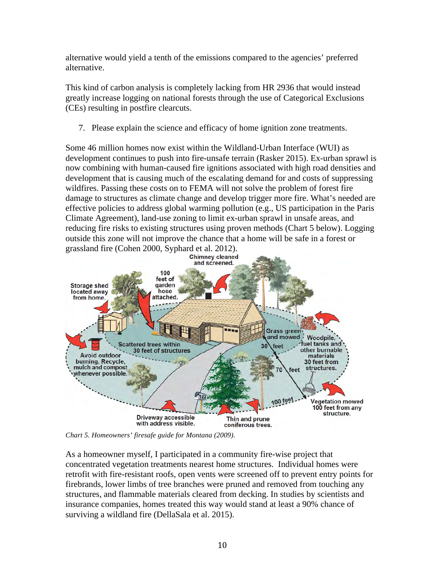alternative would yield a tenth of the emissions compared to the agencies' preferred alternative.

This kind of carbon analysis is completely lacking from HR 2936 that would instead greatly increase logging on national forests through the use of Categorical Exclusions (CEs) resulting in postfire clearcuts.

7. Please explain the science and efficacy of home ignition zone treatments.

Some 46 million homes now exist within the Wildland-Urban Interface (WUI) as development continues to push into fire-unsafe terrain (Rasker 2015). Ex-urban sprawl is now combining with human-caused fire ignitions associated with high road densities and development that is causing much of the escalating demand for and costs of suppressing wildfires. Passing these costs on to FEMA will not solve the problem of forest fire damage to structures as climate change and develop trigger more fire. What's needed are effective policies to address global warming pollution (e.g., US participation in the Paris Climate Agreement), land-use zoning to limit ex-urban sprawl in unsafe areas, and reducing fire risks to existing structures using proven methods (Chart 5 below). Logging outside this zone will not improve the chance that a home will be safe in a forest or grassland fire (Cohen 2000, Syphard et al. 2012).



*Chart 5. Homeowners' firesafe guide for Montana (2009).* 

As a homeowner myself, I participated in a community fire-wise project that concentrated vegetation treatments nearest home structures. Individual homes were retrofit with fire-resistant roofs, open vents were screened off to prevent entry points for firebrands, lower limbs of tree branches were pruned and removed from touching any structures, and flammable materials cleared from decking. In studies by scientists and insurance companies, homes treated this way would stand at least a 90% chance of surviving a wildland fire (DellaSala et al. 2015).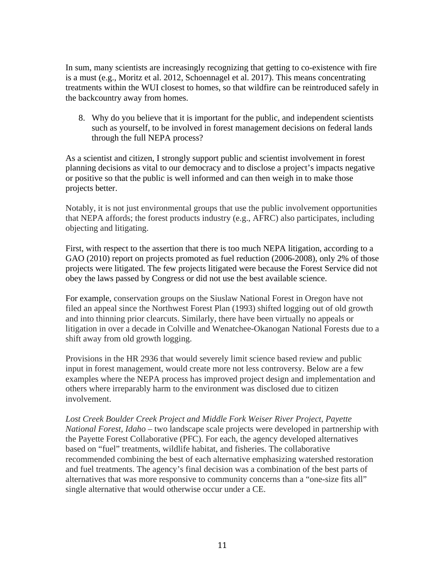In sum, many scientists are increasingly recognizing that getting to co-existence with fire is a must (e.g., Moritz et al. 2012, Schoennagel et al. 2017). This means concentrating treatments within the WUI closest to homes, so that wildfire can be reintroduced safely in the backcountry away from homes.

8. Why do you believe that it is important for the public, and independent scientists such as yourself, to be involved in forest management decisions on federal lands through the full NEPA process?

As a scientist and citizen, I strongly support public and scientist involvement in forest planning decisions as vital to our democracy and to disclose a project's impacts negative or positive so that the public is well informed and can then weigh in to make those projects better.

Notably, it is not just environmental groups that use the public involvement opportunities that NEPA affords; the forest products industry (e.g., AFRC) also participates, including objecting and litigating.

First, with respect to the assertion that there is too much NEPA litigation, according to a GAO (2010) report on projects promoted as fuel reduction (2006-2008), only 2% of those projects were litigated. The few projects litigated were because the Forest Service did not obey the laws passed by Congress or did not use the best available science.

For example, conservation groups on the Siuslaw National Forest in Oregon have not filed an appeal since the Northwest Forest Plan (1993) shifted logging out of old growth and into thinning prior clearcuts. Similarly, there have been virtually no appeals or litigation in over a decade in Colville and Wenatchee-Okanogan National Forests due to a shift away from old growth logging.

Provisions in the HR 2936 that would severely limit science based review and public input in forest management, would create more not less controversy. Below are a few examples where the NEPA process has improved project design and implementation and others where irreparably harm to the environment was disclosed due to citizen involvement.

*Lost Creek Boulder Creek Project and Middle Fork Weiser River Project, Payette National Forest, Idaho –* two landscape scale projects were developed in partnership with the Payette Forest Collaborative (PFC). For each, the agency developed alternatives based on "fuel" treatments, wildlife habitat, and fisheries. The collaborative recommended combining the best of each alternative emphasizing watershed restoration and fuel treatments. The agency's final decision was a combination of the best parts of alternatives that was more responsive to community concerns than a "one-size fits all" single alternative that would otherwise occur under a CE.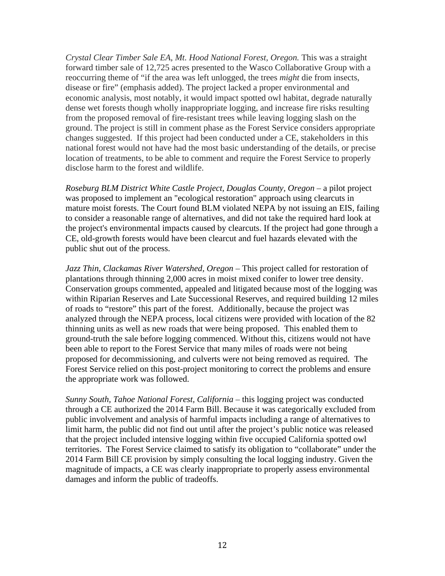*Crystal Clear Timber Sale EA, Mt. Hood National Forest, Oregon.* This was a straight forward timber sale of 12,725 acres presented to the Wasco Collaborative Group with a reoccurring theme of "if the area was left unlogged, the trees *might* die from insects, disease or fire" (emphasis added). The project lacked a proper environmental and economic analysis, most notably, it would impact spotted owl habitat, degrade naturally dense wet forests though wholly inappropriate logging, and increase fire risks resulting from the proposed removal of fire-resistant trees while leaving logging slash on the ground. The project is still in comment phase as the Forest Service considers appropriate changes suggested. If this project had been conducted under a CE, stakeholders in this national forest would not have had the most basic understanding of the details, or precise location of treatments, to be able to comment and require the Forest Service to properly disclose harm to the forest and wildlife.

*Roseburg BLM District White Castle Project, Douglas County, Oregon* – a pilot project was proposed to implement an "ecological restoration" approach using clearcuts in mature moist forests. The Court found BLM violated NEPA by not issuing an EIS, failing to consider a reasonable range of alternatives, and did not take the required hard look at the project's environmental impacts caused by clearcuts. If the project had gone through a CE, old-growth forests would have been clearcut and fuel hazards elevated with the public shut out of the process.

*Jazz Thin, Clackamas River Watershed, Oregon* – This project called for restoration of plantations through thinning 2,000 acres in moist mixed conifer to lower tree density. Conservation groups commented, appealed and litigated because most of the logging was within Riparian Reserves and Late Successional Reserves, and required building 12 miles of roads to "restore" this part of the forest. Additionally, because the project was analyzed through the NEPA process, local citizens were provided with location of the 82 thinning units as well as new roads that were being proposed. This enabled them to ground-truth the sale before logging commenced. Without this, citizens would not have been able to report to the Forest Service that many miles of roads were not being proposed for decommissioning, and culverts were not being removed as required. The Forest Service relied on this post-project monitoring to correct the problems and ensure the appropriate work was followed.

*Sunny South, Tahoe National Forest, California* – this logging project was conducted through a CE authorized the 2014 Farm Bill. Because it was categorically excluded from public involvement and analysis of harmful impacts including a range of alternatives to limit harm, the public did not find out until after the project's public notice was released that the project included intensive logging within five occupied California spotted owl territories. The Forest Service claimed to satisfy its obligation to "collaborate" under the 2014 Farm Bill CE provision by simply consulting the local logging industry. Given the magnitude of impacts, a CE was clearly inappropriate to properly assess environmental damages and inform the public of tradeoffs.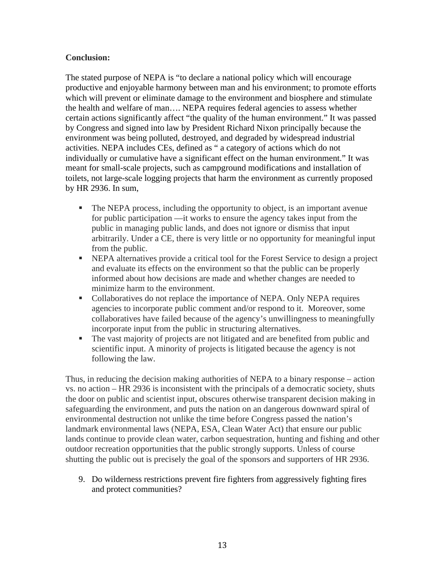# **Conclusion:**

The stated purpose of NEPA is "to declare a national policy which will encourage productive and enjoyable harmony between man and his environment; to promote efforts which will prevent or eliminate damage to the environment and biosphere and stimulate the health and welfare of man…. NEPA requires federal agencies to assess whether certain actions significantly affect "the quality of the human environment." It was passed by Congress and signed into law by President Richard Nixon principally because the environment was being polluted, destroyed, and degraded by widespread industrial activities. NEPA includes CEs, defined as " a category of actions which do not individually or cumulative have a significant effect on the human environment." It was meant for small-scale projects, such as campground modifications and installation of toilets, not large-scale logging projects that harm the environment as currently proposed by HR 2936. In sum,

- The NEPA process, including the opportunity to object, is an important avenue for public participation —it works to ensure the agency takes input from the public in managing public lands, and does not ignore or dismiss that input arbitrarily. Under a CE, there is very little or no opportunity for meaningful input from the public.
- § NEPA alternatives provide a critical tool for the Forest Service to design a project and evaluate its effects on the environment so that the public can be properly informed about how decisions are made and whether changes are needed to minimize harm to the environment.
- Collaboratives do not replace the importance of NEPA. Only NEPA requires agencies to incorporate public comment and/or respond to it. Moreover, some collaboratives have failed because of the agency's unwillingness to meaningfully incorporate input from the public in structuring alternatives.
- § The vast majority of projects are not litigated and are benefited from public and scientific input. A minority of projects is litigated because the agency is not following the law.

Thus, in reducing the decision making authorities of NEPA to a binary response – action vs. no action – HR 2936 is inconsistent with the principals of a democratic society, shuts the door on public and scientist input, obscures otherwise transparent decision making in safeguarding the environment, and puts the nation on an dangerous downward spiral of environmental destruction not unlike the time before Congress passed the nation's landmark environmental laws (NEPA, ESA, Clean Water Act) that ensure our public lands continue to provide clean water, carbon sequestration, hunting and fishing and other outdoor recreation opportunities that the public strongly supports. Unless of course shutting the public out is precisely the goal of the sponsors and supporters of HR 2936.

9. Do wilderness restrictions prevent fire fighters from aggressively fighting fires and protect communities?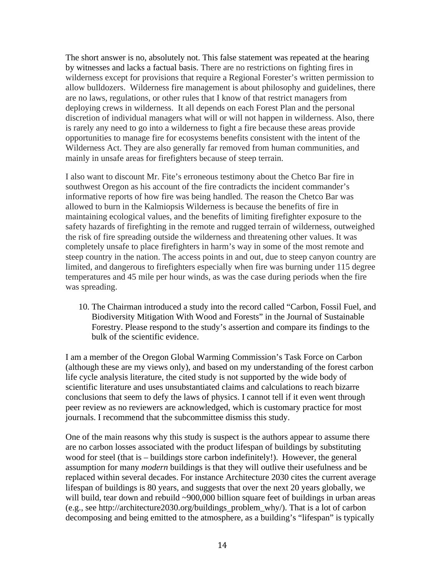The short answer is no, absolutely not. This false statement was repeated at the hearing by witnesses and lacks a factual basis. There are no restrictions on fighting fires in wilderness except for provisions that require a Regional Forester's written permission to allow bulldozers. Wilderness fire management is about philosophy and guidelines, there are no laws, regulations, or other rules that I know of that restrict managers from deploying crews in wilderness. It all depends on each Forest Plan and the personal discretion of individual managers what will or will not happen in wilderness. Also, there is rarely any need to go into a wilderness to fight a fire because these areas provide opportunities to manage fire for ecosystems benefits consistent with the intent of the Wilderness Act. They are also generally far removed from human communities, and mainly in unsafe areas for firefighters because of steep terrain.

I also want to discount Mr. Fite's erroneous testimony about the Chetco Bar fire in southwest Oregon as his account of the fire contradicts the incident commander's informative reports of how fire was being handled. The reason the Chetco Bar was allowed to burn in the Kalmiopsis Wilderness is because the benefits of fire in maintaining ecological values, and the benefits of limiting firefighter exposure to the safety hazards of firefighting in the remote and rugged terrain of wilderness, outweighed the risk of fire spreading outside the wilderness and threatening other values. It was completely unsafe to place firefighters in harm's way in some of the most remote and steep country in the nation. The access points in and out, due to steep canyon country are limited, and dangerous to firefighters especially when fire was burning under 115 degree temperatures and 45 mile per hour winds, as was the case during periods when the fire was spreading.

10. The Chairman introduced a study into the record called "Carbon, Fossil Fuel, and Biodiversity Mitigation With Wood and Forests" in the Journal of Sustainable Forestry. Please respond to the study's assertion and compare its findings to the bulk of the scientific evidence.

I am a member of the Oregon Global Warming Commission's Task Force on Carbon (although these are my views only), and based on my understanding of the forest carbon life cycle analysis literature, the cited study is not supported by the wide body of scientific literature and uses unsubstantiated claims and calculations to reach bizarre conclusions that seem to defy the laws of physics. I cannot tell if it even went through peer review as no reviewers are acknowledged, which is customary practice for most journals. I recommend that the subcommittee dismiss this study.

One of the main reasons why this study is suspect is the authors appear to assume there are no carbon losses associated with the product lifespan of buildings by substituting wood for steel (that is – buildings store carbon indefinitely!). However, the general assumption for many *modern* buildings is that they will outlive their usefulness and be replaced within several decades. For instance Architecture 2030 cites the current average lifespan of buildings is 80 years, and suggests that over the next 20 years globally, we will build, tear down and rebuild ~900,000 billion square feet of buildings in urban areas (e.g., see http://architecture2030.org/buildings\_problem\_why/). That is a lot of carbon decomposing and being emitted to the atmosphere, as a building's "lifespan" is typically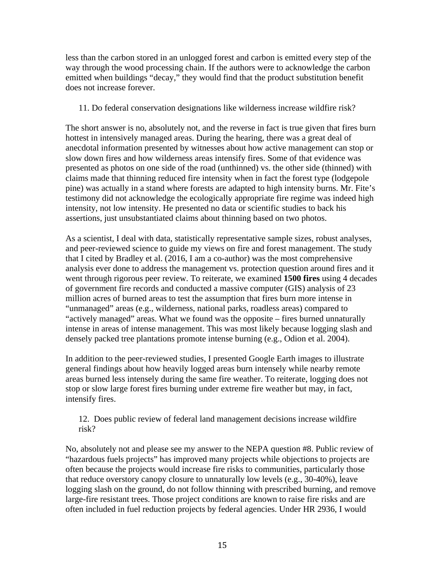less than the carbon stored in an unlogged forest and carbon is emitted every step of the way through the wood processing chain. If the authors were to acknowledge the carbon emitted when buildings "decay," they would find that the product substitution benefit does not increase forever.

## 11. Do federal conservation designations like wilderness increase wildfire risk?

The short answer is no, absolutely not, and the reverse in fact is true given that fires burn hottest in intensively managed areas. During the hearing, there was a great deal of anecdotal information presented by witnesses about how active management can stop or slow down fires and how wilderness areas intensify fires. Some of that evidence was presented as photos on one side of the road (unthinned) vs. the other side (thinned) with claims made that thinning reduced fire intensity when in fact the forest type (lodgepole pine) was actually in a stand where forests are adapted to high intensity burns. Mr. Fite's testimony did not acknowledge the ecologically appropriate fire regime was indeed high intensity, not low intensity. He presented no data or scientific studies to back his assertions, just unsubstantiated claims about thinning based on two photos.

As a scientist, I deal with data, statistically representative sample sizes, robust analyses, and peer-reviewed science to guide my views on fire and forest management. The study that I cited by Bradley et al. (2016, I am a co-author) was the most comprehensive analysis ever done to address the management vs. protection question around fires and it went through rigorous peer review. To reiterate, we examined **1500 fires** using 4 decades of government fire records and conducted a massive computer (GIS) analysis of 23 million acres of burned areas to test the assumption that fires burn more intense in "unmanaged" areas (e.g., wilderness, national parks, roadless areas) compared to "actively managed" areas. What we found was the opposite – fires burned unnaturally intense in areas of intense management. This was most likely because logging slash and densely packed tree plantations promote intense burning (e.g., Odion et al. 2004).

In addition to the peer-reviewed studies, I presented Google Earth images to illustrate general findings about how heavily logged areas burn intensely while nearby remote areas burned less intensely during the same fire weather. To reiterate, logging does not stop or slow large forest fires burning under extreme fire weather but may, in fact, intensify fires.

12. Does public review of federal land management decisions increase wildfire risk?

No, absolutely not and please see my answer to the NEPA question #8. Public review of "hazardous fuels projects" has improved many projects while objections to projects are often because the projects would increase fire risks to communities, particularly those that reduce overstory canopy closure to unnaturally low levels (e.g., 30-40%), leave logging slash on the ground, do not follow thinning with prescribed burning, and remove large-fire resistant trees. Those project conditions are known to raise fire risks and are often included in fuel reduction projects by federal agencies. Under HR 2936, I would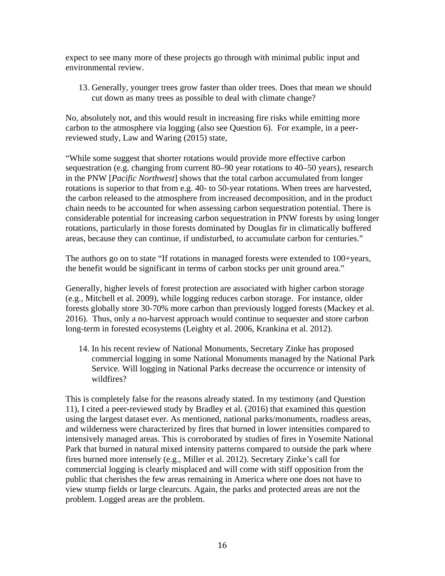expect to see many more of these projects go through with minimal public input and environmental review.

13. Generally, younger trees grow faster than older trees. Does that mean we should cut down as many trees as possible to deal with climate change?

No, absolutely not, and this would result in increasing fire risks while emitting more carbon to the atmosphere via logging (also see Question 6). For example, in a peerreviewed study, Law and Waring (2015) state,

"While some suggest that shorter rotations would provide more effective carbon sequestration (e.g. changing from current 80–90 year rotations to 40–50 years), research in the PNW [*Pacific Northwest*] shows that the total carbon accumulated from longer rotations is superior to that from e.g. 40- to 50-year rotations. When trees are harvested, the carbon released to the atmosphere from increased decomposition, and in the product chain needs to be accounted for when assessing carbon sequestration potential. There is considerable potential for increasing carbon sequestration in PNW forests by using longer rotations, particularly in those forests dominated by Douglas fir in climatically buffered areas, because they can continue, if undisturbed, to accumulate carbon for centuries."

The authors go on to state "If rotations in managed forests were extended to 100+years, the benefit would be significant in terms of carbon stocks per unit ground area."

Generally, higher levels of forest protection are associated with higher carbon storage (e.g., Mitchell et al. 2009), while logging reduces carbon storage. For instance, older forests globally store 30-70% more carbon than previously logged forests (Mackey et al. 2016). Thus, only a no-harvest approach would continue to sequester and store carbon long-term in forested ecosystems (Leighty et al. 2006, Krankina et al. 2012).

14. In his recent review of National Monuments, Secretary Zinke has proposed commercial logging in some National Monuments managed by the National Park Service. Will logging in National Parks decrease the occurrence or intensity of wildfires?

This is completely false for the reasons already stated. In my testimony (and Question 11), I cited a peer-reviewed study by Bradley et al. (2016) that examined this question using the largest dataset ever. As mentioned, national parks/monuments, roadless areas, and wilderness were characterized by fires that burned in lower intensities compared to intensively managed areas. This is corroborated by studies of fires in Yosemite National Park that burned in natural mixed intensity patterns compared to outside the park where fires burned more intensely (e.g., Miller et al. 2012). Secretary Zinke's call for commercial logging is clearly misplaced and will come with stiff opposition from the public that cherishes the few areas remaining in America where one does not have to view stump fields or large clearcuts. Again, the parks and protected areas are not the problem. Logged areas are the problem.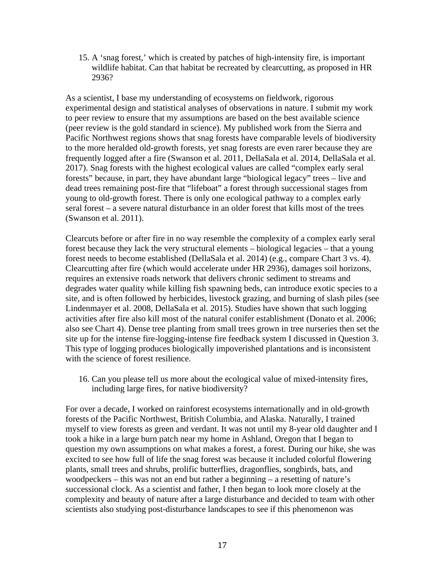15. A 'snag forest,' which is created by patches of high-intensity fire, is important wildlife habitat. Can that habitat be recreated by clearcutting, as proposed in HR 2936?

As a scientist, I base my understanding of ecosystems on fieldwork, rigorous experimental design and statistical analyses of observations in nature. I submit my work to peer review to ensure that my assumptions are based on the best available science (peer review is the gold standard in science). My published work from the Sierra and Pacific Northwest regions shows that snag forests have comparable levels of biodiversity to the more heralded old-growth forests, yet snag forests are even rarer because they are frequently logged after a fire (Swanson et al. 2011, DellaSala et al. 2014, DellaSala et al. 2017). Snag forests with the highest ecological values are called "complex early seral forests" because, in part, they have abundant large "biological legacy" trees – live and dead trees remaining post-fire that "lifeboat" a forest through successional stages from young to old-growth forest. There is only one ecological pathway to a complex early seral forest – a severe natural disturbance in an older forest that kills most of the trees (Swanson et al. 2011).

Clearcuts before or after fire in no way resemble the complexity of a complex early seral forest because they lack the very structural elements – biological legacies – that a young forest needs to become established (DellaSala et al. 2014) (e.g., compare Chart 3 vs. 4). Clearcutting after fire (which would accelerate under HR 2936), damages soil horizons, requires an extensive roads network that delivers chronic sediment to streams and degrades water quality while killing fish spawning beds, can introduce exotic species to a site, and is often followed by herbicides, livestock grazing, and burning of slash piles (see Lindenmayer et al. 2008, DellaSala et al. 2015). Studies have shown that such logging activities after fire also kill most of the natural conifer establishment (Donato et al. 2006; also see Chart 4). Dense tree planting from small trees grown in tree nurseries then set the site up for the intense fire-logging-intense fire feedback system I discussed in Question 3. This type of logging produces biologically impoverished plantations and is inconsistent with the science of forest resilience.

16. Can you please tell us more about the ecological value of mixed-intensity fires, including large fires, for native biodiversity?

For over a decade, I worked on rainforest ecosystems internationally and in old-growth forests of the Pacific Northwest, British Columbia, and Alaska. Naturally, I trained myself to view forests as green and verdant. It was not until my 8-year old daughter and I took a hike in a large burn patch near my home in Ashland, Oregon that I began to question my own assumptions on what makes a forest, a forest. During our hike, she was excited to see how full of life the snag forest was because it included colorful flowering plants, small trees and shrubs, prolific butterflies, dragonflies, songbirds, bats, and woodpeckers – this was not an end but rather a beginning – a resetting of nature's successional clock. As a scientist and father, I then began to look more closely at the complexity and beauty of nature after a large disturbance and decided to team with other scientists also studying post-disturbance landscapes to see if this phenomenon was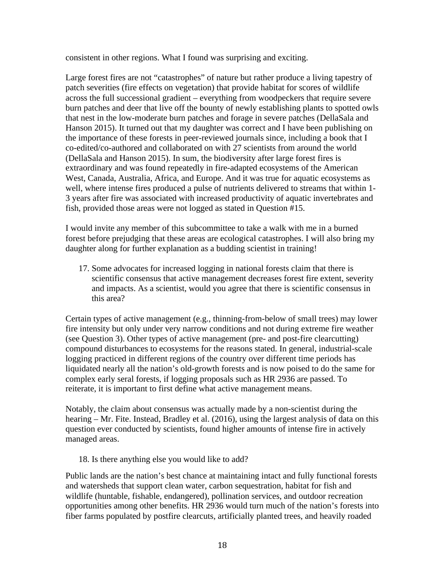consistent in other regions. What I found was surprising and exciting.

Large forest fires are not "catastrophes" of nature but rather produce a living tapestry of patch severities (fire effects on vegetation) that provide habitat for scores of wildlife across the full successional gradient – everything from woodpeckers that require severe burn patches and deer that live off the bounty of newly establishing plants to spotted owls that nest in the low-moderate burn patches and forage in severe patches (DellaSala and Hanson 2015). It turned out that my daughter was correct and I have been publishing on the importance of these forests in peer-reviewed journals since, including a book that I co-edited/co-authored and collaborated on with 27 scientists from around the world (DellaSala and Hanson 2015). In sum, the biodiversity after large forest fires is extraordinary and was found repeatedly in fire-adapted ecosystems of the American West, Canada, Australia, Africa, and Europe. And it was true for aquatic ecosystems as well, where intense fires produced a pulse of nutrients delivered to streams that within 1- 3 years after fire was associated with increased productivity of aquatic invertebrates and fish, provided those areas were not logged as stated in Question #15.

I would invite any member of this subcommittee to take a walk with me in a burned forest before prejudging that these areas are ecological catastrophes. I will also bring my daughter along for further explanation as a budding scientist in training!

17. Some advocates for increased logging in national forests claim that there is scientific consensus that active management decreases forest fire extent, severity and impacts. As a scientist, would you agree that there is scientific consensus in this area?

Certain types of active management (e.g., thinning-from-below of small trees) may lower fire intensity but only under very narrow conditions and not during extreme fire weather (see Question 3). Other types of active management (pre- and post-fire clearcutting) compound disturbances to ecosystems for the reasons stated. In general, industrial-scale logging practiced in different regions of the country over different time periods has liquidated nearly all the nation's old-growth forests and is now poised to do the same for complex early seral forests, if logging proposals such as HR 2936 are passed. To reiterate, it is important to first define what active management means.

Notably, the claim about consensus was actually made by a non-scientist during the hearing – Mr. Fite. Instead, Bradley et al. (2016), using the largest analysis of data on this question ever conducted by scientists, found higher amounts of intense fire in actively managed areas.

18. Is there anything else you would like to add?

Public lands are the nation's best chance at maintaining intact and fully functional forests and watersheds that support clean water, carbon sequestration, habitat for fish and wildlife (huntable, fishable, endangered), pollination services, and outdoor recreation opportunities among other benefits. HR 2936 would turn much of the nation's forests into fiber farms populated by postfire clearcuts, artificially planted trees, and heavily roaded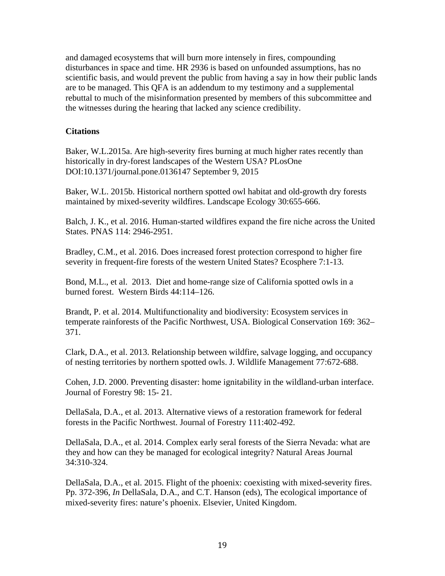and damaged ecosystems that will burn more intensely in fires, compounding disturbances in space and time. HR 2936 is based on unfounded assumptions, has no scientific basis, and would prevent the public from having a say in how their public lands are to be managed. This QFA is an addendum to my testimony and a supplemental rebuttal to much of the misinformation presented by members of this subcommittee and the witnesses during the hearing that lacked any science credibility.

## **Citations**

Baker, W.L.2015a. Are high-severity fires burning at much higher rates recently than historically in dry-forest landscapes of the Western USA? PLosOne DOI:10.1371/journal.pone.0136147 September 9, 2015

Baker, W.L. 2015b. Historical northern spotted owl habitat and old-growth dry forests maintained by mixed-severity wildfires. Landscape Ecology 30:655-666.

Balch, J. K., et al. 2016. Human-started wildfires expand the fire niche across the United States. PNAS 114: 2946-2951.

Bradley, C.M., et al. 2016. Does increased forest protection correspond to higher fire severity in frequent-fire forests of the western United States? Ecosphere 7:1-13.

Bond, M.L., et al. 2013. Diet and home-range size of California spotted owls in a burned forest. Western Birds 44:114–126.

Brandt, P. et al. 2014. Multifunctionality and biodiversity: Ecosystem services in temperate rainforests of the Pacific Northwest, USA. Biological Conservation 169: 362– 371.

Clark, D.A., et al. 2013. Relationship between wildfire, salvage logging, and occupancy of nesting territories by northern spotted owls. J. Wildlife Management 77:672-688.

Cohen, J.D. 2000. Preventing disaster: home ignitability in the wildland-urban interface. Journal of Forestry 98: 15- 21.

DellaSala, D.A., et al. 2013. Alternative views of a restoration framework for federal forests in the Pacific Northwest. Journal of Forestry 111:402-492.

DellaSala, D.A., et al. 2014. Complex early seral forests of the Sierra Nevada: what are they and how can they be managed for ecological integrity? Natural Areas Journal 34:310-324.

DellaSala, D.A., et al. 2015. Flight of the phoenix: coexisting with mixed-severity fires. Pp. 372-396, *In* DellaSala, D.A., and C.T. Hanson (eds), The ecological importance of mixed-severity fires: nature's phoenix. Elsevier, United Kingdom.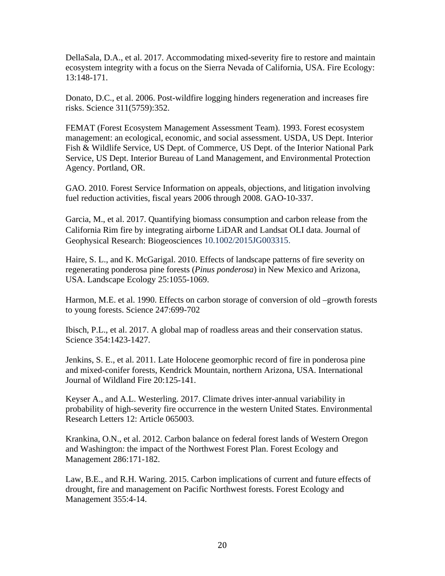DellaSala, D.A., et al. 2017. Accommodating mixed-severity fire to restore and maintain ecosystem integrity with a focus on the Sierra Nevada of California, USA. Fire Ecology: 13:148-171.

Donato, D.C., et al. 2006. Post-wildfire logging hinders regeneration and increases fire risks. Science 311(5759):352.

FEMAT (Forest Ecosystem Management Assessment Team). 1993. Forest ecosystem management: an ecological, economic, and social assessment. USDA, US Dept. Interior Fish & Wildlife Service, US Dept. of Commerce, US Dept. of the Interior National Park Service, US Dept. Interior Bureau of Land Management, and Environmental Protection Agency. Portland, OR.

GAO. 2010. Forest Service Information on appeals, objections, and litigation involving fuel reduction activities, fiscal years 2006 through 2008. GAO-10-337.

Garcia, M., et al. 2017. Quantifying biomass consumption and carbon release from the California Rim fire by integrating airborne LiDAR and Landsat OLI data. Journal of Geophysical Research: Biogeosciences 10.1002/2015JG003315.

Haire, S. L., and K. McGarigal. 2010. Effects of landscape patterns of fire severity on regenerating ponderosa pine forests (*Pinus ponderosa*) in New Mexico and Arizona, USA. Landscape Ecology 25:1055-1069.

Harmon, M.E. et al. 1990. Effects on carbon storage of conversion of old –growth forests to young forests. Science 247:699-702

Ibisch, P.L., et al. 2017. A global map of roadless areas and their conservation status. Science 354:1423-1427.

Jenkins, S. E., et al. 2011. Late Holocene geomorphic record of fire in ponderosa pine and mixed-conifer forests, Kendrick Mountain, northern Arizona, USA. International Journal of Wildland Fire 20:125-141.

Keyser A., and A.L. Westerling. 2017. Climate drives inter-annual variability in probability of high-severity fire occurrence in the western United States. Environmental Research Letters 12: Article 065003.

Krankina, O.N., et al. 2012. Carbon balance on federal forest lands of Western Oregon and Washington: the impact of the Northwest Forest Plan. Forest Ecology and Management 286:171-182.

Law, B.E., and R.H. Waring. 2015. Carbon implications of current and future effects of drought, fire and management on Pacific Northwest forests. Forest Ecology and Management 355:4-14.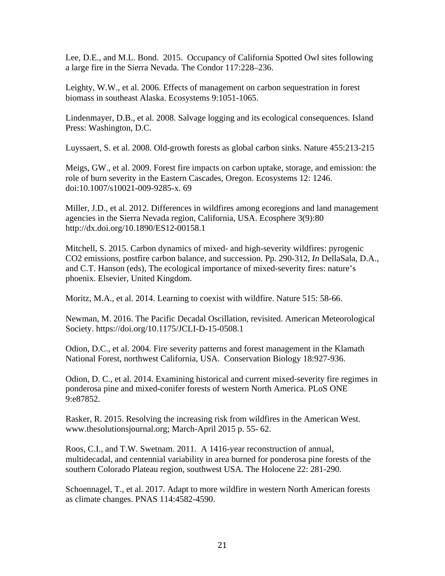Lee, D.E., and M.L. Bond. 2015. Occupancy of California Spotted Owl sites following a large fire in the Sierra Nevada. The Condor 117:228–236.

Leighty, W.W., et al. 2006. Effects of management on carbon sequestration in forest biomass in southeast Alaska. Ecosystems 9:1051-1065.

Lindenmayer, D.B., et al. 2008. Salvage logging and its ecological consequences. Island Press: Washington, D.C.

Luyssaert, S. et al. 2008. Old-growth forests as global carbon sinks. Nature 455:213-215

Meigs, GW., et al. 2009. Forest fire impacts on carbon uptake, storage, and emission: the role of burn severity in the Eastern Cascades, Oregon. Ecosystems 12: 1246. doi:10.1007/s10021-009-9285-x. 69

Miller, J.D., et al. 2012. Differences in wildfires among ecoregions and land management agencies in the Sierra Nevada region, California, USA. Ecosphere 3(9):80 http://dx.doi.org/10.1890/ES12-00158.1

Mitchell, S. 2015. Carbon dynamics of mixed- and high-severity wildfires: pyrogenic CO2 emissions, postfire carbon balance, and succession. Pp. 290-312, *In* DellaSala, D.A., and C.T. Hanson (eds), The ecological importance of mixed-severity fires: nature's phoenix. Elsevier, United Kingdom.

Moritz, M.A., et al. 2014. Learning to coexist with wildfire. Nature 515: 58-66.

Newman, M. 2016. The Pacific Decadal Oscillation, revisited. American Meteorological Society. https://doi.org/10.1175/JCLI-D-15-0508.1

Odion, D.C., et al. 2004. Fire severity patterns and forest management in the Klamath National Forest, northwest California, USA. Conservation Biology 18:927-936.

Odion, D. C., et al. 2014. Examining historical and current mixed-severity fire regimes in ponderosa pine and mixed-conifer forests of western North America. PLoS ONE 9:e87852.

Rasker, R. 2015. Resolving the increasing risk from wildfires in the American West. www.thesolutionsjournal.org; March-April 2015 p. 55- 62.

Roos, C.I., and T.W. Swetnam. 2011. A 1416-year reconstruction of annual, multidecadal, and centennial variability in area burned for ponderosa pine forests of the southern Colorado Plateau region, southwest USA. The Holocene 22: 281-290.

Schoennagel, T., et al. 2017. Adapt to more wildfire in western North American forests as climate changes. PNAS 114:4582-4590.